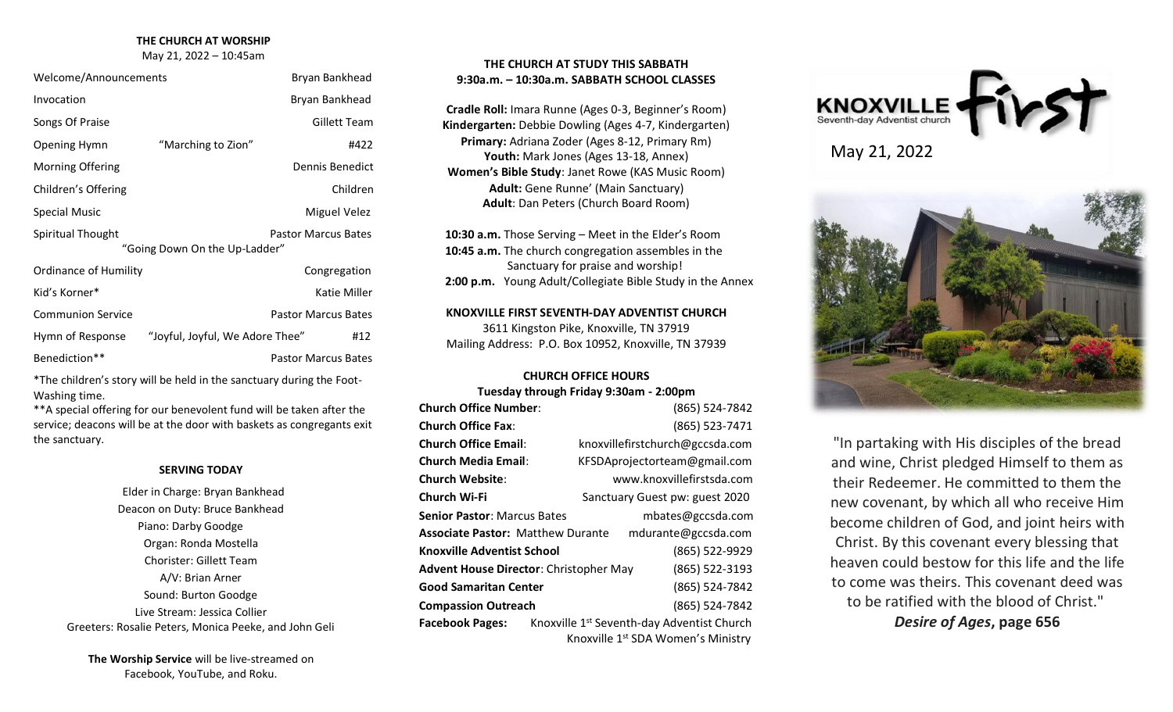#### **THE CHURCH AT WORSHIP**

May 21, 2022 – 10:45am

| Welcome/Announcements        |                                 | Bryan Bankhead             |
|------------------------------|---------------------------------|----------------------------|
| Invocation                   |                                 | Bryan Bankhead             |
| Songs Of Praise              |                                 | Gillett Team               |
| Opening Hymn                 | "Marching to Zion"              | #422                       |
| Morning Offering             |                                 | Dennis Benedict            |
| Children's Offering          |                                 | Children                   |
| <b>Special Music</b>         |                                 | Miguel Velez               |
| Spiritual Thought            | "Going Down On the Up-Ladder"   | <b>Pastor Marcus Bates</b> |
| <b>Ordinance of Humility</b> |                                 | Congregation               |
| Kid's Korner*                |                                 | Katie Miller               |
| <b>Communion Service</b>     |                                 | <b>Pastor Marcus Bates</b> |
| Hymn of Response             | "Joyful, Joyful, We Adore Thee" | #12                        |
| Benediction**                |                                 | Pastor Marcus Bates        |

\*The children's story will be held in the sanctuary during the Foot-Washing time.

\*\*A special offering for our benevolent fund will be taken after the service; deacons will be at the door with baskets as congregants exit the sanctuary.

#### **SERVING TODAY**

Elder in Charge: Bryan Bankhead Deacon on Duty: Bruce Bankhead Piano: Darby Goodge Organ: Ronda Mostella Chorister: Gillett Team A/V: Brian Arner Sound: Burton Goodge Live Stream: Jessica Collier Greeters: Rosalie Peters, Monica Peeke, and John Geli

**The Worship Service** will be live-streamed on Facebook, YouTube, and Roku.

# **THE CHURCH AT STUDY THIS SABBATH 9:30a.m. – 10:30a.m. SABBATH SCHOOL CLASSES**

**Cradle Roll:** Imara Runne (Ages 0-3, Beginner's Room) **Kindergarten:** Debbie Dowling (Ages 4-7, Kindergarten) **Primary:** Adriana Zoder (Ages 8-12, Primary Rm) Youth: Mark Jones (Ages 13-18, Annex) **Women's Bible Study**: Janet Rowe (KAS Music Room) **Adult:** Gene Runne' (Main Sanctuary) **Adult**: Dan Peters (Church Board Room)

 **10:30 a.m.** Those Serving – Meet in the Elder's Room  **10:45 a.m.** The church congregation assembles in the Sanctuary for praise and worship!  **2:00 p.m.** Young Adult/Collegiate Bible Study in the Annex

# **KNOXVILLE FIRST SEVENTH-DAY ADVENTIST CHURCH**

3611 Kingston Pike, Knoxville, TN 37919 Mailing Address: P.O. Box 10952, Knoxville, TN 37939

## **CHURCH OFFICE HOURS**

**Tuesday through Friday 9:30am - 2:00pm**

| <b>Church Office Number:</b>             | (865) 524-7842                                         |  |  |
|------------------------------------------|--------------------------------------------------------|--|--|
| <b>Church Office Fax:</b>                | (865) 523-7471                                         |  |  |
| <b>Church Office Email:</b>              | knoxvillefirstchurch@gccsda.com                        |  |  |
| <b>Church Media Email:</b>               | KFSDAprojectorteam@gmail.com                           |  |  |
| <b>Church Website:</b>                   | www.knoxvillefirstsda.com                              |  |  |
| Church Wi-Fi                             | Sanctuary Guest pw: guest 2020                         |  |  |
| <b>Senior Pastor: Marcus Bates</b>       | mbates@gccsda.com                                      |  |  |
| <b>Associate Pastor: Matthew Durante</b> | mdurante@gccsda.com                                    |  |  |
| Knoxville Adventist School               | (865) 522-9929                                         |  |  |
| Advent House Director: Christopher May   | (865) 522-3193                                         |  |  |
| <b>Good Samaritan Center</b>             | (865) 524-7842                                         |  |  |
| <b>Compassion Outreach</b>               | (865) 524-7842                                         |  |  |
| <b>Facebook Pages:</b>                   | Knoxville 1 <sup>st</sup> Seventh-day Adventist Church |  |  |
|                                          | Knoxville 1 <sup>st</sup> SDA Women's Ministry         |  |  |





"In partaking with His disciples of the bread and wine, Christ pledged Himself to them as their Redeemer. He committed to them the new covenant, by which all who receive Him become children of God, and joint heirs with Christ. By this covenant every blessing that heaven could bestow for this life and the life to come was theirs. This covenant deed was to be ratified with the blood of Christ."

*Desire of Ages***, page 656**